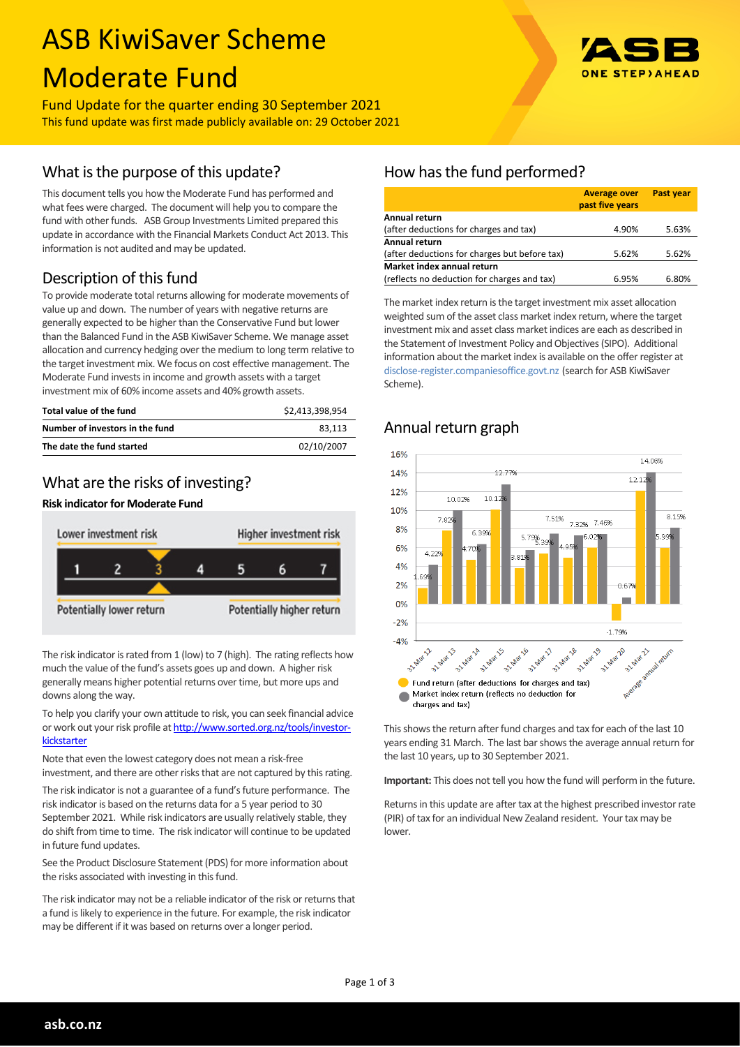# ASB KiwiSaver Scheme Moderate Fund



Fund Update for the quarter ending 30 September 2021 This fund update was first made publicly available on: 29 October 2021

### What is the purpose of this update?

This document tells you how the Moderate Fund has performed and what fees were charged. The document will help you to compare the fund with other funds. ASB Group Investments Limited prepared this update in accordance with the Financial Markets Conduct Act 2013. This information is not audited and may be updated.

## Description of this fund

To provide moderate total returns allowing for moderate movements of value up and down. The number of years with negative returns are generally expected to be higher than the Conservative Fund but lower than the Balanced Fund in the ASB KiwiSaver Scheme. We manage asset allocation and currency hedging over the medium to long term relative to the target investment mix. We focus on cost effective management. The Moderate Fund invests in income and growth assets with a target investment mix of 60% income assets and 40% growth assets.

| Total value of the fund         | \$2.413.398.954 |
|---------------------------------|-----------------|
| Number of investors in the fund | 83.113          |
| The date the fund started       | 02/10/2007      |

### What are the risks of investing?

#### **Risk indicator for Moderate Fund**



The risk indicator is rated from 1 (low) to 7 (high). The rating reflects how much the value of the fund's assets goes up and down. A higher risk generally means higher potential returns over time, but more ups and downs along the way.

To help you clarify your own attitude to risk, you can seek financial advice or work out your risk profile at [http://www.sorted.org.nz/tools/investor](http://www.sorted.org.nz/tools/investor-kickstarter)[kickstarter](http://www.sorted.org.nz/tools/investor-kickstarter)

Note that even the lowest category does not mean a risk-free investment, and there are other risks that are not captured by this rating.

The risk indicator is not a guarantee of a fund's future performance. The risk indicator is based on the returns data for a 5 year period to 30 September 2021. While risk indicators are usually relatively stable, they do shift from time to time. The risk indicator will continue to be updated in future fund updates.

See the Product Disclosure Statement (PDS) for more information about the risks associated with investing in this fund.

The risk indicator may not be a reliable indicator of the risk or returns that a fund is likely to experience in the future. For example, the risk indicator may be different if it was based on returns over a longer period.

# How has the fund performed?

|                                               | <b>Average over</b><br>past five years | <b>Past year</b> |  |  |
|-----------------------------------------------|----------------------------------------|------------------|--|--|
| Annual return                                 |                                        |                  |  |  |
| (after deductions for charges and tax)        | 4.90%                                  | 5.63%            |  |  |
| <b>Annual return</b>                          |                                        |                  |  |  |
| (after deductions for charges but before tax) | 5.62%                                  | 5.62%            |  |  |
| Market index annual return                    |                                        |                  |  |  |
| (reflects no deduction for charges and tax)   | 6.95%                                  | 6.80%            |  |  |

The market index return is the target investment mix asset allocation weighted sum of the asset class market index return, where the target investment mix and asset class market indices are each as described in the Statement of Investment Policy and Objectives (SIPO). Additional information about the market index is available on the offer register at [disclose-register.companiesoffice.govt.nz](http://www.business.govt.nz/disclose/) (search for ASB KiwiSaver Scheme).

# Annual return graph



This shows the return after fund charges and tax for each of the last 10 years ending 31 March. The last bar shows the average annual return for the last 10 years, up to 30 September 2021.

**Important:** This does not tell you how the fund will perform in the future.

Returns in this update are after tax at the highest prescribed investor rate (PIR) of tax for an individual New Zealand resident. Your tax may be lower.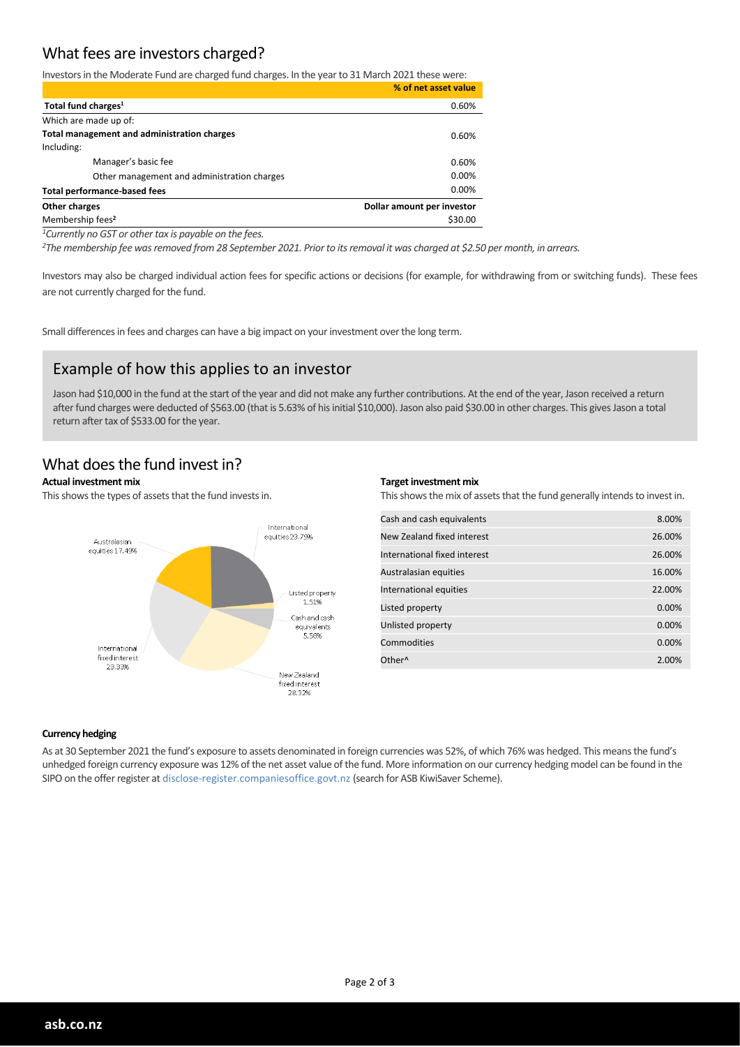### What fees are investors charged?

Investors in the Moderate Fund are charged fund charges. In the year to 31 March 2021 these were:

|                                             | % of net asset value       |
|---------------------------------------------|----------------------------|
| Total fund charges <sup>1</sup>             | 0.60%                      |
| Which are made up of:                       |                            |
| Total management and administration charges | $0.60\%$                   |
| Including:                                  |                            |
| Manager's basic fee                         | 0.60%                      |
| Other management and administration charges | 0.00%                      |
| <b>Total performance-based fees</b>         | 0.00%                      |
| Other charges                               | Dollar amount per investor |
| Membership fees <sup>2</sup>                | \$30.00                    |

*<sup>1</sup>Currently no GST or other tax is payable on the fees.*

*<sup>2</sup>The membership fee was removed from 28 September 2021. Prior to its removal it was charged at \$2.50 per month, in arrears.*

Investors may also be charged individual action fees for specific actions or decisions (for example, for withdrawing from or switching funds). These fees are not currently charged for the fund.

Small differences in fees and charges can have a big impact on your investment over the long term.

### Example of how this applies to an investor

Jason had \$10,000 in the fund at the start of the year and did not make any further contributions. At the end of the year, Jason received a return after fund charges were deducted of \$563.00 (that is 5.63% of his initial \$10,000). Jason also paid \$30.00 in other charges. This gives Jason a total return after tax of \$533.00 for the year.

### What does the fund invest in?

#### **Actual investment mix**

This shows the types of assets that the fund invests in.



#### **Target investment mix**

This shows the mix of assets that the fund generally intends to invest in.

| Cash and cash equivalents    | 8.00%  |
|------------------------------|--------|
| New Zealand fixed interest   | 26.00% |
| International fixed interest | 26.00% |
| Australasian equities        | 16.00% |
| International equities       | 22.00% |
| Listed property              | 0.00%  |
| Unlisted property            | 0.00%  |
| Commodities                  | 0.00%  |
| Other <sup>^</sup>           | 2.00%  |

#### **Currency hedging**

As at 30 September 2021 the fund's exposure to assets denominated in foreign currencies was 52%, of which 76% was hedged. This means the fund's unhedged foreign currency exposure was 12% of the net asset value of the fund. More information on our currency hedging model can be found in the SIPO on the offer register at disclose-register.companiesoffice.govt.nz (search for ASB KiwiSaver Scheme).